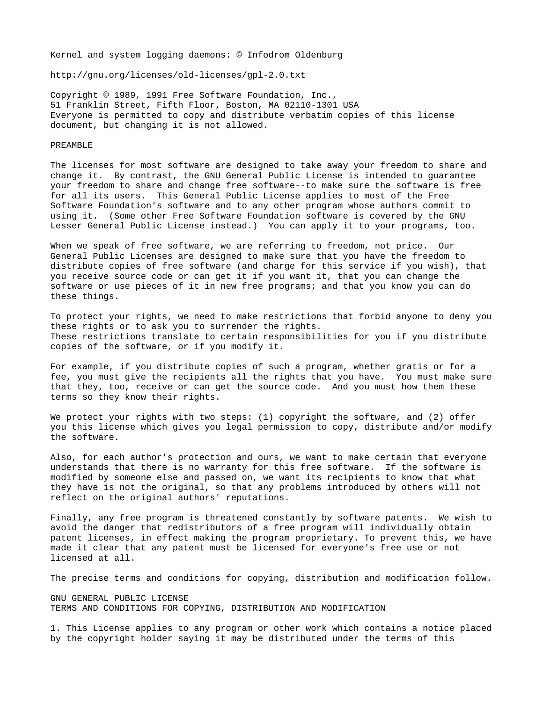Kernel and system logging daemons: © Infodrom Oldenburg

http://gnu.org/licenses/old-licenses/gpl-2.0.txt

Copyright © 1989, 1991 Free Software Foundation, Inc., 51 Franklin Street, Fifth Floor, Boston, MA 02110-1301 USA Everyone is permitted to copy and distribute verbatim copies of this license document, but changing it is not allowed.

## PREAMBLE

The licenses for most software are designed to take away your freedom to share and change it. By contrast, the GNU General Public License is intended to guarantee your freedom to share and change free software--to make sure the software is free for all its users. This General Public License applies to most of the Free Software Foundation's software and to any other program whose authors commit to using it. (Some other Free Software Foundation software is covered by the GNU Lesser General Public License instead.) You can apply it to your programs, too.

When we speak of free software, we are referring to freedom, not price. Our General Public Licenses are designed to make sure that you have the freedom to distribute copies of free software (and charge for this service if you wish), that you receive source code or can get it if you want it, that you can change the software or use pieces of it in new free programs; and that you know you can do these things.

To protect your rights, we need to make restrictions that forbid anyone to deny you these rights or to ask you to surrender the rights. These restrictions translate to certain responsibilities for you if you distribute copies of the software, or if you modify it.

For example, if you distribute copies of such a program, whether gratis or for a fee, you must give the recipients all the rights that you have. You must make sure that they, too, receive or can get the source code. And you must how them these terms so they know their rights.

We protect your rights with two steps: (1) copyright the software, and (2) offer you this license which gives you legal permission to copy, distribute and/or modify the software.

Also, for each author's protection and ours, we want to make certain that everyone understands that there is no warranty for this free software. If the software is modified by someone else and passed on, we want its recipients to know that what they have is not the original, so that any problems introduced by others will not reflect on the original authors' reputations.

Finally, any free program is threatened constantly by software patents. We wish to avoid the danger that redistributors of a free program will individually obtain patent licenses, in effect making the program proprietary. To prevent this, we have made it clear that any patent must be licensed for everyone's free use or not licensed at all.

The precise terms and conditions for copying, distribution and modification follow.

GNU GENERAL PUBLIC LICENSE TERMS AND CONDITIONS FOR COPYING, DISTRIBUTION AND MODIFICATION

1. This License applies to any program or other work which contains a notice placed by the copyright holder saying it may be distributed under the terms of this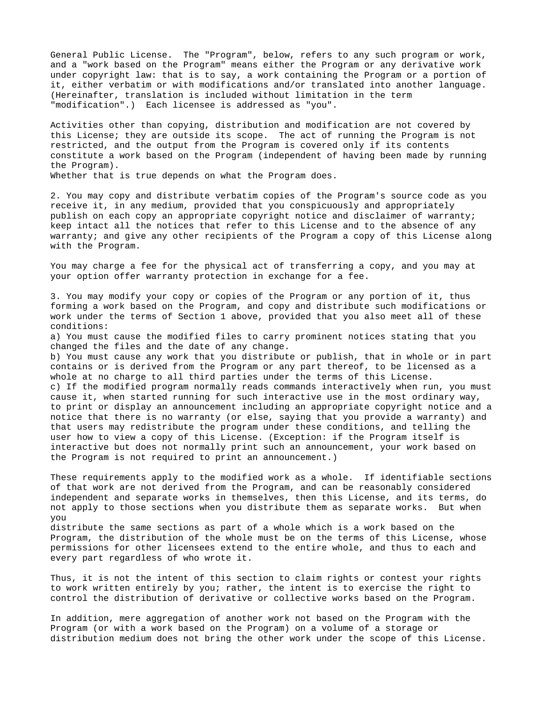General Public License. The "Program", below, refers to any such program or work, and a "work based on the Program" means either the Program or any derivative work under copyright law: that is to say, a work containing the Program or a portion of it, either verbatim or with modifications and/or translated into another language. (Hereinafter, translation is included without limitation in the term "modification".) Each licensee is addressed as "you".

Activities other than copying, distribution and modification are not covered by this License; they are outside its scope. The act of running the Program is not restricted, and the output from the Program is covered only if its contents constitute a work based on the Program (independent of having been made by running the Program).

Whether that is true depends on what the Program does.

2. You may copy and distribute verbatim copies of the Program's source code as you receive it, in any medium, provided that you conspicuously and appropriately publish on each copy an appropriate copyright notice and disclaimer of warranty; keep intact all the notices that refer to this License and to the absence of any warranty; and give any other recipients of the Program a copy of this License along with the Program.

You may charge a fee for the physical act of transferring a copy, and you may at your option offer warranty protection in exchange for a fee.

3. You may modify your copy or copies of the Program or any portion of it, thus forming a work based on the Program, and copy and distribute such modifications or work under the terms of Section 1 above, provided that you also meet all of these conditions:

a) You must cause the modified files to carry prominent notices stating that you changed the files and the date of any change.

b) You must cause any work that you distribute or publish, that in whole or in part contains or is derived from the Program or any part thereof, to be licensed as a whole at no charge to all third parties under the terms of this License. c) If the modified program normally reads commands interactively when run, you must cause it, when started running for such interactive use in the most ordinary way, to print or display an announcement including an appropriate copyright notice and a notice that there is no warranty (or else, saying that you provide a warranty) and that users may redistribute the program under these conditions, and telling the user how to view a copy of this License. (Exception: if the Program itself is interactive but does not normally print such an announcement, your work based on the Program is not required to print an announcement.)

These requirements apply to the modified work as a whole. If identifiable sections of that work are not derived from the Program, and can be reasonably considered independent and separate works in themselves, then this License, and its terms, do not apply to those sections when you distribute them as separate works. But when you

distribute the same sections as part of a whole which is a work based on the Program, the distribution of the whole must be on the terms of this License, whose permissions for other licensees extend to the entire whole, and thus to each and every part regardless of who wrote it.

Thus, it is not the intent of this section to claim rights or contest your rights to work written entirely by you; rather, the intent is to exercise the right to control the distribution of derivative or collective works based on the Program.

In addition, mere aggregation of another work not based on the Program with the Program (or with a work based on the Program) on a volume of a storage or distribution medium does not bring the other work under the scope of this License.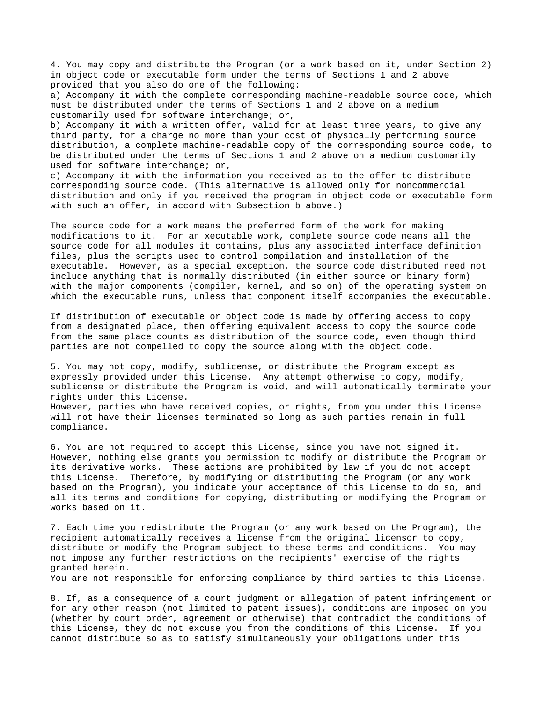4. You may copy and distribute the Program (or a work based on it, under Section 2) in object code or executable form under the terms of Sections 1 and 2 above provided that you also do one of the following:

a) Accompany it with the complete corresponding machine-readable source code, which must be distributed under the terms of Sections 1 and 2 above on a medium customarily used for software interchange; or,

b) Accompany it with a written offer, valid for at least three years, to give any third party, for a charge no more than your cost of physically performing source distribution, a complete machine-readable copy of the corresponding source code, to be distributed under the terms of Sections 1 and 2 above on a medium customarily used for software interchange; or,

c) Accompany it with the information you received as to the offer to distribute corresponding source code. (This alternative is allowed only for noncommercial distribution and only if you received the program in object code or executable form with such an offer, in accord with Subsection b above.)

The source code for a work means the preferred form of the work for making modifications to it. For an xecutable work, complete source code means all the source code for all modules it contains, plus any associated interface definition files, plus the scripts used to control compilation and installation of the executable. However, as a special exception, the source code distributed need not include anything that is normally distributed (in either source or binary form) with the major components (compiler, kernel, and so on) of the operating system on which the executable runs, unless that component itself accompanies the executable.

If distribution of executable or object code is made by offering access to copy from a designated place, then offering equivalent access to copy the source code from the same place counts as distribution of the source code, even though third parties are not compelled to copy the source along with the object code.

5. You may not copy, modify, sublicense, or distribute the Program except as expressly provided under this License. Any attempt otherwise to copy, modify, sublicense or distribute the Program is void, and will automatically terminate your rights under this License.

However, parties who have received copies, or rights, from you under this License will not have their licenses terminated so long as such parties remain in full compliance.

6. You are not required to accept this License, since you have not signed it. However, nothing else grants you permission to modify or distribute the Program or its derivative works. These actions are prohibited by law if you do not accept this License. Therefore, by modifying or distributing the Program (or any work based on the Program), you indicate your acceptance of this License to do so, and all its terms and conditions for copying, distributing or modifying the Program or works based on it.

7. Each time you redistribute the Program (or any work based on the Program), the recipient automatically receives a license from the original licensor to copy, distribute or modify the Program subject to these terms and conditions. You may not impose any further restrictions on the recipients' exercise of the rights granted herein.

You are not responsible for enforcing compliance by third parties to this License.

8. If, as a consequence of a court judgment or allegation of patent infringement or for any other reason (not limited to patent issues), conditions are imposed on you (whether by court order, agreement or otherwise) that contradict the conditions of this License, they do not excuse you from the conditions of this License. If you cannot distribute so as to satisfy simultaneously your obligations under this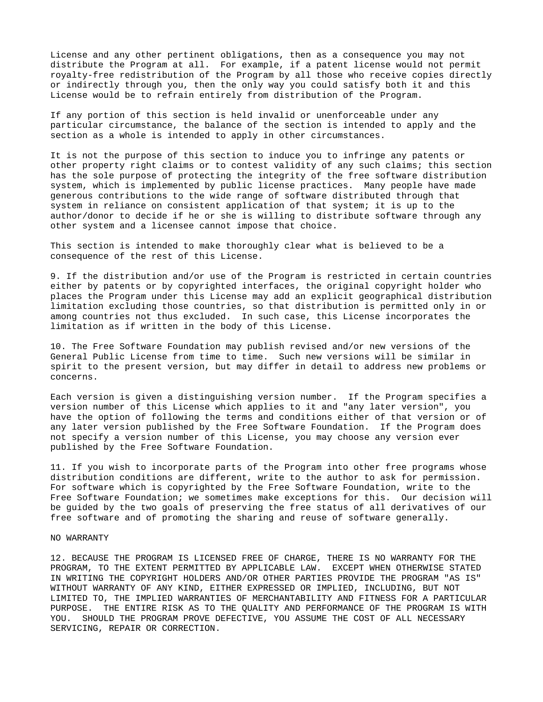License and any other pertinent obligations, then as a consequence you may not distribute the Program at all. For example, if a patent license would not permit royalty-free redistribution of the Program by all those who receive copies directly or indirectly through you, then the only way you could satisfy both it and this License would be to refrain entirely from distribution of the Program.

If any portion of this section is held invalid or unenforceable under any particular circumstance, the balance of the section is intended to apply and the section as a whole is intended to apply in other circumstances.

It is not the purpose of this section to induce you to infringe any patents or other property right claims or to contest validity of any such claims; this section has the sole purpose of protecting the integrity of the free software distribution system, which is implemented by public license practices. Many people have made generous contributions to the wide range of software distributed through that system in reliance on consistent application of that system; it is up to the author/donor to decide if he or she is willing to distribute software through any other system and a licensee cannot impose that choice.

This section is intended to make thoroughly clear what is believed to be a consequence of the rest of this License.

9. If the distribution and/or use of the Program is restricted in certain countries either by patents or by copyrighted interfaces, the original copyright holder who places the Program under this License may add an explicit geographical distribution limitation excluding those countries, so that distribution is permitted only in or among countries not thus excluded. In such case, this License incorporates the limitation as if written in the body of this License.

10. The Free Software Foundation may publish revised and/or new versions of the General Public License from time to time. Such new versions will be similar in spirit to the present version, but may differ in detail to address new problems or concerns.

Each version is given a distinguishing version number. If the Program specifies a version number of this License which applies to it and "any later version", you have the option of following the terms and conditions either of that version or of any later version published by the Free Software Foundation. If the Program does not specify a version number of this License, you may choose any version ever published by the Free Software Foundation.

11. If you wish to incorporate parts of the Program into other free programs whose distribution conditions are different, write to the author to ask for permission. For software which is copyrighted by the Free Software Foundation, write to the Free Software Foundation; we sometimes make exceptions for this. Our decision will be guided by the two goals of preserving the free status of all derivatives of our free software and of promoting the sharing and reuse of software generally.

## NO WARRANTY

12. BECAUSE THE PROGRAM IS LICENSED FREE OF CHARGE, THERE IS NO WARRANTY FOR THE PROGRAM, TO THE EXTENT PERMITTED BY APPLICABLE LAW. EXCEPT WHEN OTHERWISE STATED IN WRITING THE COPYRIGHT HOLDERS AND/OR OTHER PARTIES PROVIDE THE PROGRAM "AS IS" WITHOUT WARRANTY OF ANY KIND, EITHER EXPRESSED OR IMPLIED, INCLUDING, BUT NOT LIMITED TO, THE IMPLIED WARRANTIES OF MERCHANTABILITY AND FITNESS FOR A PARTICULAR PURPOSE. THE ENTIRE RISK AS TO THE QUALITY AND PERFORMANCE OF THE PROGRAM IS WITH YOU. SHOULD THE PROGRAM PROVE DEFECTIVE, YOU ASSUME THE COST OF ALL NECESSARY SERVICING, REPAIR OR CORRECTION.